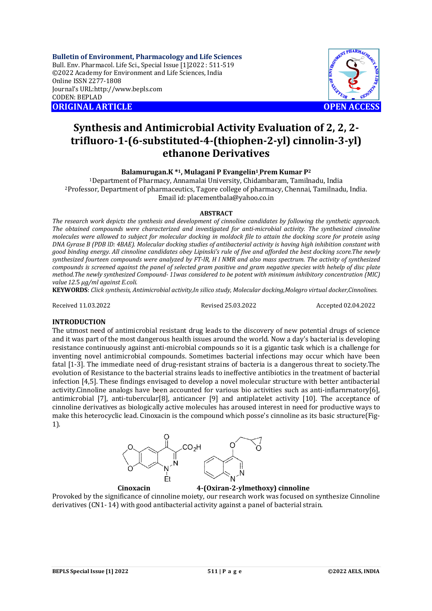**Bulletin of Environment, Pharmacology and Life Sciences** Bull. Env. Pharmacol. Life Sci., Special Issue [1]2022 : 511-519 ©2022 Academy for Environment and Life Sciences, India Online ISSN 2277-1808 Journal's URL:<http://www.bepls.com> CODEN: BEPLAD **ORIGINAL ARTICLE OPEN ACCESS** 



# **Synthesis and Antimicrobial Activity Evaluation of 2, 2, 2 trifluoro-1-(6-substituted-4-(thiophen-2-yl) cinnolin-3-yl) ethanone Derivatives**

**Balamurugan.K \*1, Mulagani P Evangelin<sup>1</sup> ,Prem Kumar P<sup>2</sup>**

<sup>1</sup>Department of Pharmacy, Annamalai University, Chidambaram, Tamilnadu, India <sup>2</sup>Professor, Department of pharmaceutics, Tagore college of pharmacy, Chennai, Tamilnadu, India. Email id: [placementbala@yahoo.co.in](mailto:placementbala@yahoo.co.in)

#### **ABSTRACT**

*The research work depicts the synthesis and development of cinnoline candidates by following the synthetic approach. The obtained compounds were characterized and investigated for anti-microbial activity. The synthesized cinnoline molecules were allowed to subject for molecular docking in moldock file to attain the docking score for protein using DNA Gyrase B (PDB lD: 4BAE). Molecular docking studies of antibacterial activity is having high inhibition constant with good binding energy. All cinnoline candidates obey Lipinski's rule of five and afforded the best docking score.The newly synthesized fourteen compounds were analyzed by FT-lR, H I NMR and also mass spectrum. The activity of synthesized compounds is screened against the panel of selected gram positive and gram negative species with hehelp of disc plate method.The newly synthesized Compound- 11was considered to be potent with minimum inhibitory concentration (MIC) value 12*.5 *μg/ml against E.coli.*

**KEYWORDS**: *Click synthesis, Antimicrobial activity,In silico study, Molecular docking,Molegro virtual docker,Cinnolines.*

Received 11.03.2022 Revised 25.03.2022 Accepted 02.04.2022

### **INTRODUCTION**

The utmost need of antimicrobial resistant drug leads to the discovery of new potential drugs of science and it was part of the most dangerous health issues around the world. Now a day's bacterial is developing resistance continuously against anti-microbial compounds so it is a gigantic task which is a challenge for inventing novel antimicrobial compounds. Sometimes bacterial infections may occur which have been fatal [1-3]. The immediate need of drug-resistant strains of bacteria is a dangerous threat to society.The evolution of Resistance to the bacterial strains leads to ineffective antibiotics in the treatment of bacterial infection [4,5]. These findings envisaged to develop a novel molecular structure with better antibacterial activity.Cinnoline analogs have been accounted for various bio activities such as anti-inflarnrnatory[6], antimicrobial [7], anti-tubercular[8], anticancer [9] and antiplatelet activity [10]. The acceptance of cinnoline derivatives as biologically active molecules has aroused interest in need for productive ways to make this heterocyclic lead. Cinoxacin is the compound which posse's cinnoline as its basic structure(Fig-1).



 **Cinoxacin 4-(Oxiran-2-ylmethoxy) cinnoline**

Provoked by the significance of cinnoline moiety, our research work was focused on synthesize Cinnoline derivatives (CN1- 14) with good antibacterial activity against a panel of bacterial strain.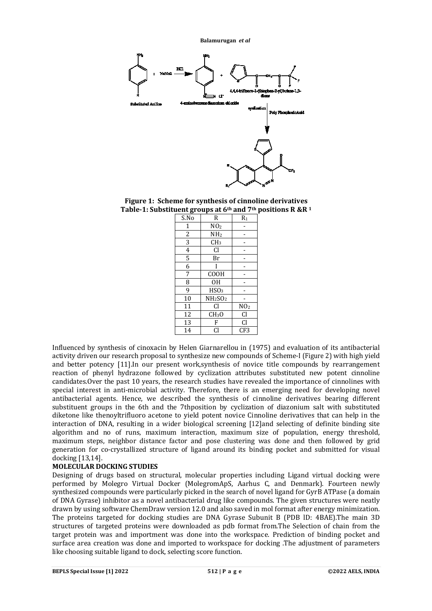

**Figure 1: Scheme for synthesis of cinnoline derivatives Table-1: Substituent groups at 6th and 7th positions R &R <sup>1</sup>**

| S.No           | R<br>$R_1$                      |                 |  |
|----------------|---------------------------------|-----------------|--|
| 1              | NO <sub>2</sub>                 |                 |  |
| $\overline{c}$ | NH <sub>2</sub>                 |                 |  |
| 3              | CH <sub>3</sub>                 |                 |  |
| $\overline{4}$ | <b>Cl</b>                       |                 |  |
| 5              | Br                              |                 |  |
| 6              |                                 |                 |  |
| 7              | <b>COOH</b>                     |                 |  |
| 8              | 0H                              |                 |  |
| 9              | HSO <sub>3</sub>                |                 |  |
| 10             | NH <sub>2</sub> SO <sub>2</sub> |                 |  |
| 11             | Cl                              | NO <sub>2</sub> |  |
| 12             | CH <sub>3</sub> O               | Cl              |  |
| 13             | F                               | Cl              |  |
| 14             | Cl                              | CF3             |  |

Influenced by synthesis of cinoxacin by Helen Giarnarellou in (1975) and evaluation of its antibacterial activity driven our research proposal to synthesize new compounds of Scheme-I (Figure 2) with high yield and better potency [11].In our present work,synthesis of novice title compounds by rearrangement reaction of phenyl hydrazone followed by cyclization attributes substituted new potent cinnoline candidates.Over the past 10 years, the research studies have revealed the importance of cinnolines with special interest in anti-microbial activity. Therefore, there is an emerging need for developing novel antibacterial agents. Hence, we described the synthesis of cinnoline derivatives bearing different substituent groups in the 6th and the 7thposition by cyclization of diazonium salt with substituted diketone like thenoyltrifluoro acetone to yield potent novice Cinnoline derivatives that can help in the interaction of DNA, resulting in a wider biological screening [12]and selecting of definite binding site algorithm and no of runs, maximum interaction, maximum size of population, energy threshold, maximum steps, neighbor distance factor and pose clustering was done and then followed by grid generation for co-crystallized structure of ligand around its binding pocket and submitted for visual docking [13,14].

# **MOLECULAR DOCKING STUDIES**

Designing of drugs based on structural, molecular properties including Ligand virtual docking were performed by Molegro Virtual Docker (MolegromApS, Aarhus C, and Denmark). Fourteen newly synthesized compounds were particularly picked in the search of novel ligand for GyrB ATPase (a domain of DNA Gyrase) inhibitor as a novel antibacterial drug like compounds. The given structures were neatly drawn by using software ChemDraw version 12.0 and also saved in mol format after energy minimization. The proteins targeted for docking studies are DNA Gyrase Subunit B (PDB lD: 4BAE).The main 3D structures of targeted proteins were downloaded as pdb format from.The Selection of chain from the target protein was and importment was done into the workspace. Prediction of binding pocket and surface area creation was done and imported to workspace for docking .The adjustment of parameters like choosing suitable ligand to dock, selecting score function.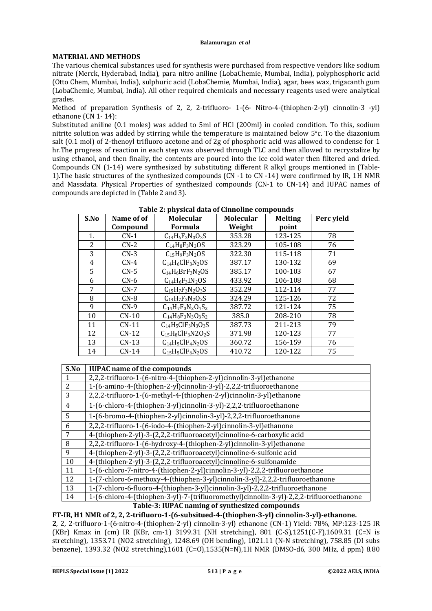## **MATERIAL AND METHODS**

The various chemical substances used for synthesis were purchased from respective vendors like sodium nitrate (Merck, Hyderabad, India), para nitro aniline (LobaChemie, Mumbai, India), polyphosphoric acid (Otto Chem, Mumbai, India), sulphuric acid (LobaChemie, Mumbai, India), agar, bees wax, trigacanth gum (LobaChemie, Mumbai, India). All other required chemicals and necessary reagents used were analytical grades.

Method of preparation Synthesis of 2, 2, 2-trifluoro- 1-(6- Nitro-4-(thiophen-2-yl) cinnolin-3 -yl) ethanone (CN 1- 14):

Substituted aniline (0.1 moles) was added to 5ml of HCl (200ml) in cooled condition. To this, sodium nitrite solution was added by stirring while the temperature is maintained below 5°c. To the diazonium salt (0.1 mol) of 2-thenoyl trifluoro acetone and of 2g of phosphoric acid was allowed to condense for 1 hr.The progress of reaction in each step was observed through TLC and then allowed to recrystalize by using ethanol, and then finally, the contents are poured into the ice cold water then filtered and dried. Compounds CN (1-14) were synthesized by substituting different R alkyl groups mentioned in (Table-1).The basic structures of the synthesized compounds (CN -1 to CN -14) were confirmed by IR, 1H NMR and Massdata. Physical Properties of synthesized compounds (CN-1 to CN-14) and IUPAC names of compounds are depicted in (Table 2 and 3).

| S.No | Name of of | <b>Molecular</b>              | <b>Molecular</b> | <b>Melting</b> | Perc yield |
|------|------------|-------------------------------|------------------|----------------|------------|
|      | Compound   | Formula                       | Weight           | point          |            |
| 1.   | $CN-1$     | $C_{14}H_6F_3N_3O_3S$         | 353.28           | 123-125        | 78         |
| 2    | $CN-2$     | $C_{14}H_8F_3N_3OS$           | 323.29           | 105-108        | 76         |
| 3    | $CN-3$     | $C15H9F3N2OS$                 | 322.30           | 115-118        | 71         |
| 4    | $CN-4$     | $C14H6ClF3N2OS$               | 387.17           | 130-132        | 69         |
| 5    | $CN-5$     | $C_{14}H_6BrF_3N_2OS$         | 385.17           | 100-103        | 67         |
| 6    | $CN-6$     | $C14H6F3IN2OS$                | 433.92           | 106-108        | 68         |
| 7    | $CN-7$     | $C_{15}H_7F_3N_2O_3S$         | 352.29           | 112-114        | 77         |
| 8    | $CN-8$     | $C_{14}H_{7}F_{3}N_{2}O_{2}S$ | 324.29           | 125-126        | 72         |
| 9    | $CN-9$     | $C_{14}H_7F_3N_2O_4S_2$       | 387.72           | 121-124        | 75         |
| 10   | $CN-10$    | $C_{14}H_8F_3N_3O_3S_2$       | 385.0            | 208-210        | 78         |
| 11   | $CN-11$    | $C_{14}H_5CIF_3N_3O_3S$       | 387.73           | 211-213        | 79         |
| 12   | $CN-12$    | $C_{15}H_8CIF_3N2O_2S$        | 371.98           | 120-123        | 77         |
| 13   | $CN-13$    | $C14H5ClF4N2OS$               | 360.72           | 156-159        | 76         |
| 14   | $CN-14$    | $C_{15}H_5CIF_6N_2OS$         | 410.72           | 120-122        | 75         |

**Table 2: physical data of Cinnoline compounds**

| S.No           | <b>IUPAC</b> name of the compounds                                                      |
|----------------|-----------------------------------------------------------------------------------------|
|                | 2,2,2-trifluoro-1-(6-nitro-4-(thiophen-2-yl)cinnolin-3-yl)ethanone                      |
| $\overline{2}$ | 1-(6-amino-4-(thiophen-2-yl)cinnolin-3-yl)-2,2,2-trifluoroethanone                      |
| 3              | 2,2,2-trifluoro-1-(6-methyl-4-(thiophen-2-yl)cinnolin-3-yl)ethanone                     |
| $\overline{4}$ | 1-(6-chloro-4-(thiophen-3-yl)cinnolin-3-yl)-2,2,2-trifluoroethanone                     |
| $\overline{5}$ | 1-(6-bromo-4-(thiophen-2-yl)cinnolin-3-yl)-2,2,2-trifluoroethanone                      |
| 6              | 2,2,2-trifluoro-1-(6-iodo-4-(thiophen-2-yl)cinnolin-3-yl)ethanone                       |
| 7              | 4-(thiophen-2-yl)-3-(2,2,2-trifluoroacetyl)cinnoline-6-carboxylic acid                  |
| 8              | 2,2,2-trifluoro-1-(6-hydroxy-4-(thiophen-2-yl)cinnolin-3-yl)ethanone                    |
| 9              | 4-(thiophen-2-yl)-3-(2,2,2-trifluoroacetyl)cinnoline-6-sulfonic acid                    |
| 10             | 4-(thiophen-2-yl)-3-(2,2,2-trifluoroacetyl)cinnoline-6-sulfonamide                      |
| 11             | 1-(6-chloro-7-nitro-4-(thiophen-2-yl)cinnolin-3-yl)-2,2,2-trifluoroethanone             |
| 12             | 1-(7-chloro-6-methoxy-4-(thiophen-3-yl)cinnolin-3-yl)-2,2,2-trifluoroethanone           |
| 13             | 1-(7-chloro-6-fluoro-4-(thiophen-3-yl)cinnolin-3-yl)-2,2,2-trifluoroethanone            |
| 14             | 1-(6-chloro-4-(thiophen-3-yl)-7-(trifluoromethyl)cinnolin-3-yl)-2,2,2-trifluoroethanone |
|                | Table 2. IIIDAC naming of cynthasized compounds                                         |

**Table-3: IUPAC naming of synthesized compounds**

**FT-IR, H1 NMR of 2, 2, 2-trifluoro-1-(6-subsitued-4-(thiophen-3-yl) cinnolin-3-yl)-ethanone. 2**, 2, 2-trifluoro-1-(6-nitro-4-(thiophen-2-yl) cinnolin-3-yl) ethanone (CN-1) Yield: 78%, MP:123-125 IR (KBr) Kmax in (cm) IR (KBr, cm-1) 3199.31 (NH stretching), 801 (C-S),1251(C-F),1609.31 (C=N is stretching), 1353.71 (NO2 stretching), 1248.69 (OH bending), 1021.11 (N-N stretching), 758.85 (DI subs benzene), 1393.32 (NO2 stretching),1601 (C=O),1535(N=N),1H NMR (DMSO-d6, 300 MHz, d ppm) 8.80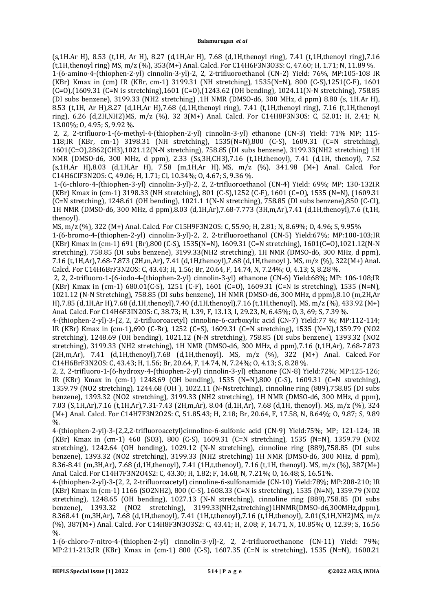(s,1H.Ar H), 8.53 (t,1H, Ar H), 8.27 (d,1H,Ar H), 7.68 (d,1H,thenoyl ring), 7.41 (t,1H,thenoyl ring),7.16 (t,1H,thenoyl ring) MS, m/z (%), 353(M+) Anal. Calcd. For C14H6F3N3O3S: C, 47.60; H, 1.71; N, 11.89 %. 1-(6-amino-4-(thiophen-2-yl) cinnolin-3-yl)-2, 2, 2-trifluoroethanol (CN-2) Yield: 76%, MP:105-108 IR (KBr) Kmax in (cm) IR (KBr, cm-1) 3199.31 (NH stretching), 1535(N=N), 800 (C-S),1251(C-F), 1601 (C=O),(1609.31 (C=N is stretching),1601 (C=O),(1243.62 (OH bending), 1024.11(N-N stretching), 758.85 (DI subs benzene), 3199.33 (NH2 stretching) ,1H NMR (DMSO-d6, 300 MHz, d ppm) 8.80 (s, 1H.Ar H), 8.53 (t,1H, Ar H),8.27 (d,1H,Ar H),7.68 (d,1H,thenoyl ring), 7.41 (t,1H,thenoyl ring), 7.16 (t,1H,thenoyl ring), 6.26 (d,2H,NH2)MS, m/z (%), 32 3(M+) Anal. Calcd. For C14H8F3N3OS: C, 52.01; H, 2.41; N, 13.00%; O, 4.95; S, 9.92 %.

2, 2, 2-trifluoro-1-(6-methyl-4-(thiophen-2-yl) cinnolin-3-yl) ethanone (CN-3) Yield: 71% MP; 115- 118;IR (KBr, cm-1) 3198.31 (NH stretching), 1535(N=N),800 (C-S), 1609.31 (C=N stretching), 1601(C=O),2862(CH3),1021.12(N-N stretching), 758.85 (DI subs benzene), 3199.33(NH2 stretching) 1H NMR (DMSO-d6, 300 MHz, d ppm), 2.33 (Ss,3H,CH3),7.16 (t,1H,thenoyl), 7.41 (d,1H, thenoyl), 7.52 (s,1H,Ar H),8.03 (d,1H,Ar H), 7.58 (m,1H,Ar H). MS, m/z (%), 341.98 (M+) Anal. Calcd. For C14H6ClF3N2OS: C, 49.06; H, 1.71; Cl, 10.34%; O, 4.67; S, 9.36 %.

1-(6-chloro-4-(thiophen-3-yl) cinnolin-3-yl)-2, 2, 2-trifluoroethanol (CN-4) Yield: 69%; MP; 130-132IR (KBr) Kmax in (cm-1) 3198.33 (NH stretching), 801 (C-S),1252 (C-F), 1601 (C=O), 1535 (N=N), (1609.31 (C=N stretching), 1248.61 (OH bending), 1021.1 1(N-N stretching), 758.85 (DI subs benzene),850 (C-Cl), 1H NMR (DMSO-d6, 300 MHz, d ppm),8.03 (d,1H,Ar),7.68-7.773 (3H,m,Ar),7.41 (d,1H,thenoyl),7.6 (t,1H, thenoyl).

MS, m/z (%), 322 (M+) Anal. Calcd. For C15H9F3N2OS: C, 55.90; H, 2.81; N, 8.69%; O, 4.96; S, 9.95%

1-(6-bromo-4-(thiophen-2-yl) cinnolin-3-yl)-2, 2, 2-trifluoroethanol (CN-5) Yield:67%; MP:100-103;IR (KBr) Kmax in (cm-1) 691 (Br),800 (C-S), 1535(N=N), 1609.31 (C=N stretching), 1601(C=O),1021.12(N-N stretching), 758.85 (DI subs benzene), 3199.33(NH2 stretching), 1H NMR (DMSO-d6, 300 MHz, d ppm), 7.16 (t,1H,Ar),7.68-7.873 (2H,m,Ar), 7.41 (d,1H,thenoyl),7.68 (d,1H,thenoyl ). MS, m/z (%), 322(M+) Anal. Calcd. For C14H6BrF3N2OS: C, 43.43; H, 1.56; Br, 20.64, F, 14.74, N, 7.24%; O, 4.13; S, 8.28 %.

2, 2, 2-trifluoro-1-(6-iodo-4-(thiophen-2-yl) cinnolin-3-yl) ethanone (CN-6) Yield:68%; MP: 106-108;IR (KBr) Kmax in (cm-1) 680.01(C-S), 1251 (C-F), 1601 (C=O), 1609.31 (C=N is stretching), 1535 (N=N), 1021.12 (N-N Stretching), 758.85 (DI subs benzene), 1H NMR (DMSO-d6, 300 MHz, d ppm),8.10 (m,2H,Ar H),7.85 (d,1H,Ar H),7.68 (d,1H,thenoyl),7.40 (d,1H,thenoyl),7.16 (t,1H,thenoyl), MS, m/z (%), 433.92 (M+) Anal. Calcd. For C14H6F3IN2OS: C, 38.73; H, 1.39, F, 13.13, I, 29.23, N, 6.45%; O, 3, 69; S, 7.39 %.

4-(thiophen-2-yl)-3-(2, 2, 2-trifluoroacetyl) cinnoline-6-carboxylic acid (CN-7) Yield:77 %; MP:112-114; IR (KBr) Kmax in (cm-1),690 (C-Br), 1252 (C=S), 1609.31 (C=N stretching), 1535 (N=N),1359.79 (NO2 stretching), 1248.69 (OH bending), 1021.12 (N-N stretching), 758.85 (DI subs benzene), 1393.32 (NO2 stretching), 3199.33 (NH2 stretching), 1H NMR (DMSO-d6, 300 MHz, d ppm),7.16 (t,1H,Ar), 7.68-7.873  $(2H,m,Ar)$ , 7.41 (d,1H,thenoyl), 7.68 (d,1H,thenoyl). MS, m/z (%), 322 (M+) Anal. Calced. For C14H6BrF3N2OS: C, 43.43; H, 1.56; Br, 20.64, F, 14.74, N, 7.24%; O, 4.13; S, 8.28 %.

2, 2, 2-trifluoro-1-(6-hydroxy-4-(thiophen-2-yl) cinnolin-3-yl) ethanone (CN-8) Yield:72%; MP:125-126; IR (KBr) Kmax in (cm-1) 1248.69 (OH bending), 1535 (N=N),800 (C-S), 1609.31 (C=N stretching), 1359.79 (NO2 stretching), 1244.68 (OH ), 1022.11 (N-Nstretching), cinnoline ring (889),758.85 (DI subs benzene), 1393.32 (NO2 stretching), 3199.33 (NH2 stretching), 1H NMR (DMSO-d6, 300 MHz, d ppm), 7.03 (S,1H,Ar),7.16 (t,1H,Ar),7.31-7.43 (2H,m,Ar), 8.04 (d,1H,Ar), 7.68 (d,1H, thenoyl). MS, m/z (%), 324 (M+) Anal. Calcd. For C14H7F3N2O2S: C, 51.85.43; H, 2.18; Br, 20.64, F, 17.58, N, 8.64%; O, 9.87; S, 9.89  $\frac{0}{0}$ .

4-(thiophen-2-yl)-3-(2,2,2-trifluoroacetyl)cinnoline-6-sulfonic acid (CN-9) Yield:75%; MP; 121-124; IR (KBr) Kmax in (cm-1) 460 (SO3), 800 (C-S), 1609.31 (C=N stretching), 1535 (N=N), 1359.79 (NO2 stretching), 1242.64 (OH bending), 1029.12 (N-N stretching), cinnoline ring (889),758.85 (DI subs benzene), 1393.32 (NO2 stretching), 3199.33 (NH2 stretching) 1H NMR (DMSO-d6, 300 MHz, d ppm), 8.36-8.41 (m,3H,Ar), 7.68 (d,1H,thenoyl), 7.41 (1H,t,thenoyl), 7.16 (t,1H, thenoyl). MS, m/z (%), 387(M+) Anal. Calcd. For C14H7F3N2O4S2: C, 43.30; H, 1.82; F, 14.68, N, 7.21%; O, 16.48; S, 16.51%.

4-(thiophen-2-yl)-3-(2, 2, 2-trifluoroacetyl) cinnoline-6-sulfonamide (CN-10) Yield:78%; MP:208-210; IR (KBr) Kmax in (cm-1) 1166 (SO2NH2), 800 (C-S), 1608.33 (C=N is stretching), 1535 (N=N), 1359.79 (NO2 stretching), 1248.65 (OH bending), 1027.13 (N-N stretching), cinnoline ring (889),758.85 (DI subs benzene), 1393.32 (NO2 stretching), 3199.33(NH2,stretching)1HNMR(DMSO-d6,300MHz,dppm), 8.368.41 (m,3H,Ar), 7.68 (d,1H,thenoyl), 7.41 (1H,t,thenoyl),7.16 (t,1H,thenoyl), 2.01(S,1H,NH2)MS, m/z (%), 387(M+) Anal. Calcd. For C14H8F3N3O3S2: C, 43.41; H, 2.08; F, 14.71, N, 10.85%; O, 12.39; S, 16.56  $\%$ .

1-(6-chloro-7-nitro-4-(thiophen-2-yl) cinnolin-3-yl)-2, 2, 2-trifluoroethanone (CN-11) Yield: 79%; MP:211-213;IR (KBr) Kmax in (cm-1) 800 (C-S), 1607.35 (C=N is stretching), 1535 (N=N), 1600.21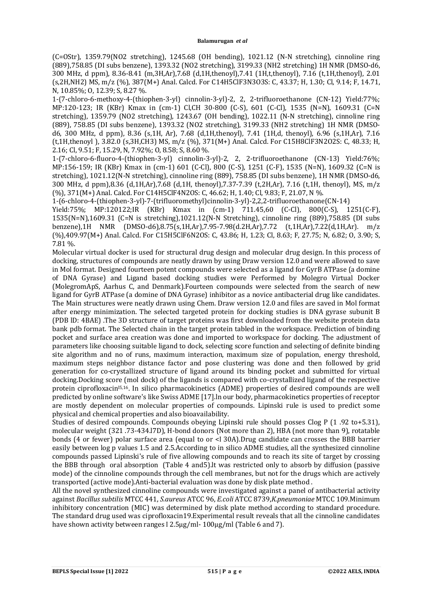(C=OStr), 1359.79(NO2 stretching), 1245.68 (OH bending), 1021.12 (N-N stretching), cinnoline ring (889),758.85 (DI subs benzene), 1393.32 (NO2 stretching), 3199.33 (NH2 stretching) 1H NMR (DMSO-d6, 300 MHz, d ppm), 8.36-8.41 (m,3H,Ar),7.68 (d,1H,thenoyl),7.41 (1H,t,thenoyl), 7.16 (t,1H,thenoyl), 2.01 (s,2H,NH2) MS, m/z (%), 387(M+) Anal. Calcd. For C14H5ClF3N3O3S: C, 43.37; H, 1.30; Cl, 9.14; F, 14.71, N, 10.85%; O, 12.39; S, 8.27 %.

1-(7-chloro-6-methoxy-4-(thiophen-3-yl) cinnolin-3-yl)-2, 2, 2-trifluoroethanone (CN-12) Yield:77%; MP:120-123; IR (KBr) Kmax in (cm-1) Cl,CH 30-800 (C-S), 601 (C-Cl), 1535 (N=N), 1609.31 (C=N stretching), 1359.79 (NO2 stretching), 1243.67 (OH bending), 1022.11 (N-N stretching), cinnoline ring (889), 758.85 (DI subs benzene), 1393.32 (NO2 stretching), 3199.33 (NH2 stretching) 1H NMR (DMSOd6, 300 MHz, d ppm), 8.36 (s,1H, Ar), 7.68 (d,1H,thenoyl), 7.41 (1H,d, thenoyl), 6.96 (s,1H,Ar), 7.16 (t,1H,thenoyl ), 3.82.0 (s,3H,CH3) MS, m/z (%), 371(M+) Anal. Calcd. For C15H8ClF3N2O2S: C, 48.33; H, 2.16; Cl, 9.51; F, 15.29, N, 7.92%; O, 8.58; S, 8.60 %.

1-(7-chloro-6-fluoro-4-(thiophen-3-yl) cinnolin-3-yl)-2, 2, 2-trifluoroethanone (CN-13) Yield:76%; MP:156-159; IR (KBr) Kmax in (cm-1) 601 (C-Cl), 800 (C-S), 1251 (C-F), 1535 (N=N), 1609.32 (C=N is stretching), 1021.12(N-N stretching), cinnoline ring (889), 758.85 (DI subs benzene), 1H NMR (DMSO-d6, 300 MHz, d ppm),8.36 (d,1H,Ar),7.68 (d,1H, thenoyl),7.37-7.39 (t,2H,Ar), 7.16 (t,1H, thenoyl), MS, m/z (%), 371(M+) Anal. Calcd. For C14H5ClF4N2OS: C, 46.62; H, 1.40; Cl, 9.83; F, 21.07, N %.

1-(6-chloro-4-(thiophen-3-yl)-7-(trifluoromethyl)cinnolin-3-yl)-2,2,2-trifluoroethanone(CN-14)

Yield:75%; MP:120122;IR (KBr) Kmax in (cm-1) 711.45,60 (C-Cl), 800(C-S), 1251(C-F), 1535(N=N),1609.31 (C=N is stretching),1021.12(N-N Stretching), cinnoline ring (889),758.85 (DI subs benzene),1H NMR (DMSO-d6),8.75(s,1H,Ar),7.95-7.98(d.2H,Ar),7.72 (t,1H,Ar),7.22(d,1H,Ar). m/z (%),409.97(M+) Anal. Calcd. For C15H5ClF6N2OS: C, 43.86; H, 1.23; Cl, 8.63; F, 27.75; N, 6.82; O, 3.90; S, 7.81 %.

Molecular virtual docker is used for structural drug design and molecular drug design. In this process of docking, structures of compounds are neatly drawn by using Draw version 12.0 and were allowed to save in Mol format. Designed fourteen potent compounds were selected as a ligand for GyrB ATPase (a domine of DNA Gyrase) and Ligand based docking studies were Performed by Molegro Virtual Docker (MolegromApS, Aarhus C, and Denmark).Fourteen compounds were selected from the search of new ligand for GyrB ATPase (a domine of DNA Gyrase) inhibitor as a novice antibacterial drug like candidates. The Main structures were neatly drawn using Chem. Draw version 12.0 and files are saved in Mol format after energy minimization. The selected targeted protein for docking studies is DNA gyrase subunit B (PDB lD: 4BAE) .The 3D structure of target proteins was first downloaded from the website protein data bank pdb format. The Selected chain in the target protein tabled in the workspace. Prediction of binding pocket and surface area creation was done and imported to workspace for docking. The adjustment of parameters like choosing suitable ligand to dock, selecting score function and selecting of definite binding site algorithm and no of runs, maximum interaction, maximum size of population, energy threshold, maximum steps neighbor distance factor and pose clustering was done and then followed by grid generation for co-crystallized structure of ligand around its binding pocket and submitted for virtual docking.Docking score (mol dock) of the ligands is compared with co-crystallized ligand of the respective protein ciprofloxacin<sup>15,16</sup>. In silico pharmacokinetics (ADME) properties of desired compounds are well predicted by online software's like Swiss ADME [17].ln our body, pharmacokinetics properties of receptor are mostly dependent on molecular properties of compounds. Lipinski rule is used to predict some physical and chemical properties and also bioavailability.

Studies of desired compounds. Compounds obeying Lipinski rule should posses Clog P (1 .92 to+5.31), molecular weight (321 .73-434.l7D), H-bond donors (Not more than 2), HBA (not more than 9), rotatable bonds (4 or fewer) polar surface area (equal to or <I 30A).Drug candidate can crosses the BBB barrier easily between log p values 1.5 and 2.5.According to in silico ADME studies, all the synthesized cinnoline compounds passed Lipinski's rule of five allowing compounds and to reach its site of target by crossing the BBB through oral absorption (Table 4 and5).lt was restricted only to absorb by diffusion (passive mode) of the cinnoline compounds through the cell membranes, but not for the drugs which are actively transported (active mode).Anti-bacterial evaluation was done by disk plate method .

All the novel synthesized cinnoline compounds were investigated against a panel of antibacterial activity against *Bacillus subtilis* MTCC 441, *S.aureus* ATCC 96, *E.coli* ATCC 8739,*K.pneumoniae* MTCC 109.Minimum inhibitory concentration (MIC) was determined by disk plate method according to standard procedure. The standard drug used was ciprofloxacin19.Experimental result reveals that all the cinnoline candidates have shown activity between ranges I 2.5μg/ml- 100μg/ml (Table 6 and 7).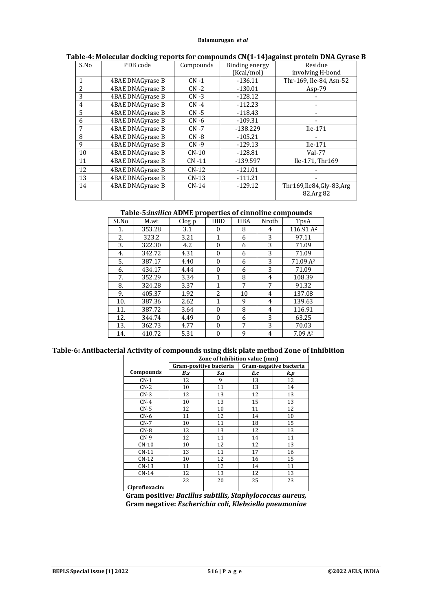| S.No           | PDB code         | Compounds | Binding energy | Residue                                  |
|----------------|------------------|-----------|----------------|------------------------------------------|
|                |                  |           | (Kcal/mol)     | involving H-bond                         |
| $\mathbf{1}$   | 4BAE DNAGyrase B | $CN -1$   | $-136.11$      | Thr-169, Ile-84, Asn-52                  |
| $\overline{c}$ | 4BAE DNAGyrase B | $CN -2$   | $-130.01$      | $Asp-79$                                 |
| 3              | 4BAE DNAGyrase B | $CN -3$   | $-128.12$      |                                          |
| $\overline{4}$ | 4BAE DNAGyrase B | $CN -4$   | $-112.23$      |                                          |
| 5              | 4BAE DNAGyrase B | $CN - 5$  | $-118.43$      |                                          |
| 6              | 4BAE DNAGyrase B | $CN -6$   | $-109.31$      |                                          |
| 7              | 4BAE DNAGyrase B | $CN -7$   | $-138.229$     | $Ile-171$                                |
| 8              | 4BAE DNAGyrase B | $CN -8$   | $-105.21$      |                                          |
| 9              | 4BAE DNAGyrase B | $CN -9$   | $-129.13$      | Ile-171                                  |
| 10             | 4BAE DNAGyrase B | $CN-10$   | $-128.81$      | $Val-77$                                 |
| 11             | 4BAE DNAGyrase B | $CN -11$  | -139.597       | Ile-171, Thr169                          |
| 12             | 4BAE DNAGyrase B | $CN-12$   | $-121.01$      |                                          |
| 13             | 4BAE DNAGyrase B | $CN-13$   | $-111.21$      |                                          |
| 14             | 4BAE DNAGyrase B | $CN-14$   | $-129.12$      | Thr169, Ile84, Gly-83, Arg<br>82, Arg 82 |

### **Table-4: Molecular docking reports for compounds CN(1-14)against protein DNA Gyrase B**

# **Table-5:***insilico* **ADME properties of cinnoline compounds**

| SI.No | M.wt   | Clog p | <b>HBD</b>       | <b>HBA</b> | Nrotb | TpsA                  |
|-------|--------|--------|------------------|------------|-------|-----------------------|
| 1.    | 353.28 | 3.1    | $\boldsymbol{0}$ | 8          | 4     | 116.91 A <sup>2</sup> |
| 2.    | 323.2  | 3.21   | 1                | 6          | 3     | 97.11                 |
| 3.    | 322.30 | 4.2    | $\mathbf{0}$     | 6          | 3     | 71.09                 |
| 4.    | 342.72 | 4.31   | $\boldsymbol{0}$ | 6          | 3     | 71.09                 |
| 5.    | 387.17 | 4.40   | $\boldsymbol{0}$ | 6          | 3     | 71.09 A <sup>2</sup>  |
| 6.    | 434.17 | 4.44   | $\theta$         | 6          | 3     | 71.09                 |
| 7.    | 352.29 | 3.34   | 1                | 8          | 4     | 108.39                |
| 8.    | 324.28 | 3.37   | 1                | 7          | 7     | 91.32                 |
| 9.    | 405.37 | 1.92   | 2                | 10         | 4     | 137.08                |
| 10.   | 387.36 | 2.62   | 1                | 9          | 4     | 139.63                |
| 11.   | 387.72 | 3.64   | $\boldsymbol{0}$ | 8          | 4     | 116.91                |
| 12.   | 344.74 | 4.49   | $\theta$         | 6          | 3     | 63.25                 |
| 13.   | 362.73 | 4.77   | $\mathbf{0}$     | 7          | 3     | 70.03                 |
| 14.   | 410.72 | 5.31   | $\boldsymbol{0}$ | 9          | 4     | 7.09A <sup>2</sup>    |

#### **Table-6: Antibacterial Activity of compounds using disk plate method Zone of Inhibition**

|                | Zone of Inhibition value (mm) |     |     |                        |
|----------------|-------------------------------|-----|-----|------------------------|
|                | Gram-positive bacteria        |     |     | Gram-negative bacteria |
| Compounds      | B.s                           | S.a | E.c | k.p                    |
| $CN-1$         | 12                            | 9   | 13  | 12                     |
| $CN-2$         | 10                            | 11  | 13  | 14                     |
| $CN-3$         | 12                            | 13  | 12  | 13                     |
| $CN-4$         | 10                            | 13  | 15  | 13                     |
| $CN-5$         | 12                            | 10  | 11  | 12                     |
| $CN-6$         | 11                            | 12  | 14  | 10                     |
| $CN-7$         | 10                            | 11  | 18  | 15                     |
| $CN-8$         | 12                            | 13  | 12  | 13                     |
| $CN-9$         | 12                            | 11  | 14  | 11                     |
| $CN-10$        | 10                            | 12  | 12  | 13                     |
| $CN-11$        | 13                            | 11  | 17  | 16                     |
| $CN-12$        | 10                            | 12  | 16  | 15                     |
| $CN-13$        | 11                            | 12  | 14  | 11                     |
| $CN-14$        | 12                            | 13  | 12  | 13                     |
|                | 22                            | 20  | 25  | 23                     |
| Ciprofloxacin: |                               |     |     |                        |

**Gram positive***: Bacillus subtilis, Staphylococcus aureus,* **Gram negative:** *Escherichia coli, Klebsiella pneumoniae*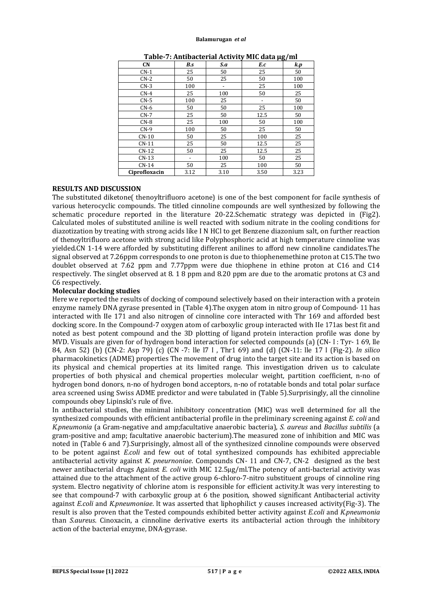| <b>CN</b>     | B.s  | S.a                      | E.c                      | $\boldsymbol{k}.\boldsymbol{p}$ |
|---------------|------|--------------------------|--------------------------|---------------------------------|
| $CN-1$        | 25   | 50                       | 25                       | 50                              |
| $CN-2$        | 50   | 25                       | 50                       | 100                             |
| $CN-3$        | 100  | $\overline{\phantom{a}}$ | 25                       | 100                             |
| $CN-4$        | 25   | 100                      | 50                       | 25                              |
| $CN-5$        | 100  | 25                       | $\overline{\phantom{a}}$ | 50                              |
| $CN-6$        | 50   | 50                       | 25                       | 100                             |
| $CN-7$        | 25   | 50                       | 12.5                     | 50                              |
| $CN-8$        | 25   | 100                      | 50                       | 100                             |
| $CN-9$        | 100  | 50                       | 25                       | 50                              |
| $CN-10$       | 50   | 25                       | 100                      | 25                              |
| $CN-11$       | 25   | 50                       | 12.5                     | 25                              |
| $CN-12$       | 50   | 25                       | 12.5                     | 25                              |
| $CN-13$       |      | 100                      | 50                       | 25                              |
| $CN-14$       | 50   | 25                       | 100                      | 50                              |
| Ciprofloxacin | 3.12 | 3.10                     | 3.50                     | 3.23                            |

| Table-7: Antibacterial Activity MIC data µg/ml |  |
|------------------------------------------------|--|
|------------------------------------------------|--|

## **RESULTS AND DISCUSSION**

The substituted diketone( thenoyltrifluoro acetone) is one of the best component for facile synthesis of various heterocyclic compounds. The titled cinnoline compounds are well synthesized by following the schematic procedure reported in the literature 20-22.Schematic strategy was depicted in (Fig2). Calculated moles of substituted aniline is well reacted with sodium nitrate in the cooling conditions for diazotization by treating with strong acids like I N HCl to get Benzene diazonium salt, on further reaction of thenoyltrifluoro acetone with strong acid like Polyphosphoric acid at high temperature cinnoline was yielded.CN 1-14 were afforded by substituting different anilines to afford new cinnoline candidates.The signal observed at 7.26ppm corresponds to one proton is due to thiophenemethine proton at C15.The two doublet observed at 7.62 ppm and 7.77ppm were due thiophene in ethine proton at C16 and C14 respectively. The singlet observed at 8. 1 8 ppm and 8.20 ppm are due to the aromatic protons at C3 and C6 respectively.

## **Molecular docking studies**

Here we reported the results of docking of compound selectively based on their interaction with a protein enzyme namely DNA gyrase presented in (Table 4).The oxygen atom in nitro group of Compound- 11 has interacted with IIe 171 and also nitrogen of cinnoline core interacted with Thr 169 and afforded best docking score. In the Compound-7 oxygen atom of carboxylic group interacted with IIe 171as best fit and noted as best potent compound and the 3D plotting of ligand protein interaction profile was done by MVD. Visuals are given for of hydrogen bond interaction for selected compounds (a) (CN- I : Tyr- 1 69, lle 84, Asn 52) (b) (CN-2: Asp 79) (c) (CN -7: lle l7 I , Thr1 69) and (d) (CN-11: lle 17 I (Fig-2). *ln silico* pharmacokinetics (ADME) properties The movement of drug into the target site and its action is based on its physical and chemical properties at its limited range. This investigation driven us to calculate properties of both physical and chemical properties molecular weight, partition coefficient, n-no of hydrogen bond donors, n-no of hydrogen bond acceptors, n-no of rotatable bonds and total polar surface area screened using Swiss ADME predictor and were tabulated in (Table 5).Surprisingly, all the cinnoline compounds obey Lipinski's rule of five.

In antibacterial studies, the minimal inhibitory concentration (MIC) was well determined for all the synthesized compounds with efficient antibacterial profile in the preliminary screening against *E. coli* and *K.pneumonia* (a Gram-negative and amp;facultative anaerobic bacteria), *S. aureus* and *Bacillus subtilis* (a gram-positive and amp; facultative anaerobic bacterium).The measured zone of inhibition and MIC was noted in (Table 6 and 7).Surprisingly, almost all of the synthesized cinnoline compounds were observed to be potent against *E.coli* and few out of total synthesized compounds has exhibited appreciable antibacterial activity against *K. pneurnoniae*. Compounds CN- 11 and CN-7, CN-2 designed as the best newer antibacterial drugs Against *E. coli* with MIC 12.5μg/ml.The potency of anti-bacterial activity was attained due to the attachment of the active group 6-chloro-7-nitro substituent groups of cinnoline ring system. Electro negativity of chlorine atom is responsible for efficient activity.lt was very interesting to see that compound-7 with carboxylic group at 6 the position, showed significant Antibacterial activity against *E.coli* and *K.pneumoniae*. lt was asserted that liphophilict y causes increased activity(Fig-3). The result is also proven that the Tested compounds exhibited better activity against *E.coli* and *K.pneumonia* than *S.aureus*. Cinoxacin, a cinnoline derivative exerts its antibacterial action through the inhibitory action of the bacterial enzyme, DNA-gyrase.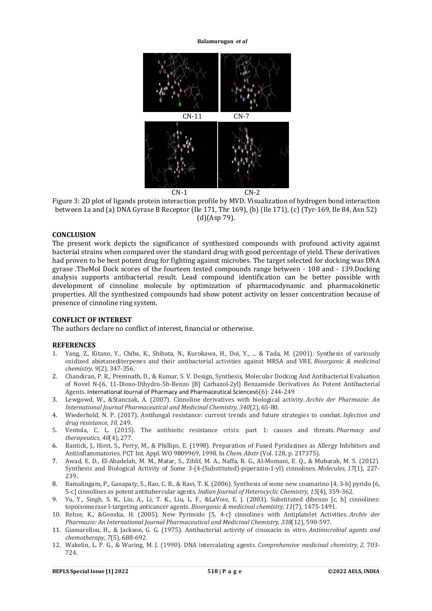

Figure 3: 2D plot of ligands protein interaction profile by MVD. Visualization of hydrogen bond interaction between 1a and (a) DNA Gyrase B Receptor (Ile 171, Thr 169), (b) (Ile 171), (c) (Tyr-169, Ile 84, Asn 52) (d)(Asp 79).

# **CONCLUSION**

The present work depicts the significance of synthesized compounds with profound activity against bacterial strains when compared over the standard drug with good percentage of yield. These derivatives had proven to be best potent drug for fighting against microbes. The target selected for docking was DNA gyrase .TheMol Dock scores of the fourteen tested compounds range between - 108 and - 139.Docking analysis supports antibacterial result. Lead compound identification can be better possible with development of cinnoline molecule by optimization of pharmacodynamic and pharmacokinetic properties. All the synthesized compounds had show potent activity on lesser concentration because of presence of cinnoline ring system.

#### **CONFLICT OF INTEREST**

The authors declare no conflict of interest, financial or otherwise.

### **REFERENCES**

- 1. Yang, Z., Kitano, Y., Chiba, K., Shibata, N., Kurokawa, H., Doi, Y., ... & Tada, M. (2001). Synthesis of variously oxidized abietanediterpenes and their antibacterial activities against MRSA and VRE. *Bioorganic & medicinal chemistry*, *9*(2), 347-356.
- 2. Chandiran, P. R., Premnath, D., & Kumar, S. V. Design, Synthesis, Molecular Docking And Antibacterial Evaluation of Novel N-(6, 11-Dioxo-Dihydro-5h-Benzo [B] Carbazol-2yl) Benzamide Derivatives As Potent Antibacterial Agents. International Journal of Pharmacy and Pharmaceutical Sciences6(6): 244-249
- 3. Lewgowd, W., &Stanczak, A. (2007). Cinnoline derivatives with biological activity. *Archiv der Pharmazie: An International Journal Pharmaceutical and Medicinal Chemistry*, *340*(2), 65-80.
- 4. Wiederhold, N. P. (2017). Antifungal resistance: current trends and future strategies to combat. *Infection and drug resistance*, *10*, 249.
- 5. Ventola, C. L. (2015). The antibiotic resistance crisis: part 1: causes and threats. *Pharmacy and therapeutics*, *40*(4), 277.
- 6. Bantick, J., Hirst, S., Perry, M., & Phillips, E. (1998). Preparation of Fused Pyridazines as Allergy Inhibitors and Antiinflammatories. PCT Int. Appl. WO 9809969, 1998. In *Chem. Abstr* (Vol. 128, p. 217375).
- 7. Awad, E. D., El-Abadelah, M. M., Matar, S., Zihlif, M. A., Naffa, R. G., Al-Momani, E. Q., & Mubarak, M. S. (2012). Synthesis and Biological Activity of Some 3-(4-(Substituted)-piperazin-1-yl) cinnolines. *Molecules*, *17*(1), 227- 239..
- 8. Ramalingam, P., Ganapaty, S., Rao, C. B., & Ravi, T. K. (2006). Synthesis of some new coumarino [4, 3-b] pyrido [6, 5-c] cinnolines as potent antitubercular agents. *Indian Journal of Heterocyclic Chemistry*, *15*(4), 359-362.
- 9. Yu, Y., Singh, S. K., Liu, A., Li, T. K., Liu, L. F., &LaVoie, E. J. (2003). Substituted dibenzo [c, h] cinnolines: topoisomerase I-targeting anticancer agents. *Bioorganic & medicinal chemistry*, *11*(7), 1475-1491.
- 10. Rehse, K., &Gonska, H. (2005). New Pyrimido [5, 4‐c] cinnolines with Antiplatelet Activities. *Archiv der Pharmazie: An International Journal Pharmaceutical and Medicinal Chemistry*, *338*(12), 590-597.
- 11. Giamarellou, H., & Jackson, G. G. (1975). Antibacterial activity of cinoxacin in vitro. *Antimicrobial agents and chemotherapy*, *7*(5), 688-692.
- 12. Wakelin, L. P. G., & Waring, M. J. (1990). DNA intercalating agents. *Comprehensive medicinal chemistry*, *2*, 703- 724.